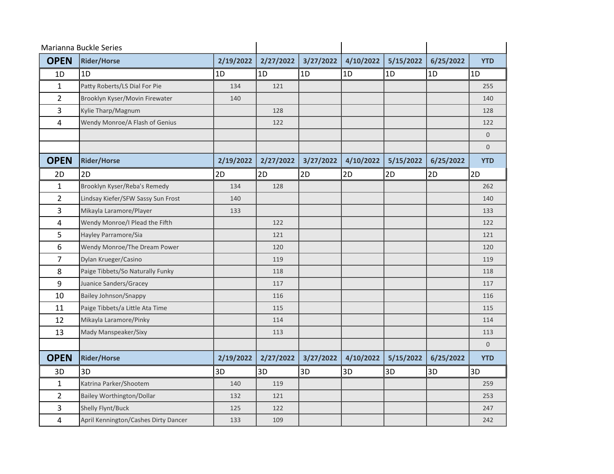| Marianna Buckle Series |                                      |           |           |           |           |           |           |                              |
|------------------------|--------------------------------------|-----------|-----------|-----------|-----------|-----------|-----------|------------------------------|
| <b>OPEN</b>            | <b>Rider/Horse</b>                   | 2/19/2022 | 2/27/2022 | 3/27/2022 | 4/10/2022 | 5/15/2022 | 6/25/2022 | <b>YTD</b>                   |
| 1D                     | 1D                                   | 1D        | 1D        | 1D        | 1D        | 1D        | 1D        | 1D                           |
| $\mathbf{1}$           | Patty Roberts/LS Dial For Pie        | 134       | 121       |           |           |           |           | 255                          |
| $\overline{2}$         | Brooklyn Kyser/Movin Firewater       | 140       |           |           |           |           |           | 140                          |
| $\overline{3}$         | Kylie Tharp/Magnum                   |           | 128       |           |           |           |           | 128                          |
| 4                      | Wendy Monroe/A Flash of Genius       |           | 122       |           |           |           |           | 122                          |
|                        |                                      |           |           |           |           |           |           | $\mathbf 0$                  |
| <b>OPEN</b>            | <b>Rider/Horse</b>                   | 2/19/2022 | 2/27/2022 | 3/27/2022 | 4/10/2022 | 5/15/2022 | 6/25/2022 | $\overline{0}$<br><b>YTD</b> |
| 2D                     | 2D                                   | 2D        | 2D        | 2D        | 2D        | 2D        | 2D        | 2D                           |
| $\mathbf{1}$           | Brooklyn Kyser/Reba's Remedy         | 134       | 128       |           |           |           |           | 262                          |
| $\overline{2}$         | Lindsay Kiefer/SFW Sassy Sun Frost   | 140       |           |           |           |           |           | 140                          |
| 3                      | Mikayla Laramore/Player              | 133       |           |           |           |           |           | 133                          |
| 4                      | Wendy Monroe/I Plead the Fifth       |           | 122       |           |           |           |           | 122                          |
| 5                      | Hayley Parramore/Sia                 |           | 121       |           |           |           |           | 121                          |
| 6                      | Wendy Monroe/The Dream Power         |           | 120       |           |           |           |           | 120                          |
| $\overline{7}$         | Dylan Krueger/Casino                 |           | 119       |           |           |           |           | 119                          |
| 8                      | Paige Tibbets/So Naturally Funky     |           | 118       |           |           |           |           | 118                          |
| 9                      | Juanice Sanders/Gracey               |           | 117       |           |           |           |           | 117                          |
| 10                     | <b>Bailey Johnson/Snappy</b>         |           | 116       |           |           |           |           | 116                          |
| 11                     | Paige Tibbets/a Little Ata Time      |           | 115       |           |           |           |           | 115                          |
| 12                     | Mikayla Laramore/Pinky               |           | 114       |           |           |           |           | 114                          |
| 13                     | Mady Manspeaker/Sixy                 |           | 113       |           |           |           |           | 113                          |
|                        |                                      |           |           |           |           |           |           | $\overline{0}$               |
| <b>OPEN</b>            | <b>Rider/Horse</b>                   | 2/19/2022 | 2/27/2022 | 3/27/2022 | 4/10/2022 | 5/15/2022 | 6/25/2022 | <b>YTD</b>                   |
| 3D                     | 3D                                   | 3D        | 3D        | 3D        | 3D        | 3D        | 3D        | 3D                           |
| $\mathbf{1}$           | Katrina Parker/Shootem               | 140       | 119       |           |           |           |           | 259                          |
| $\overline{2}$         | <b>Bailey Worthington/Dollar</b>     | 132       | 121       |           |           |           |           | 253                          |
| 3                      | Shelly Flynt/Buck                    | 125       | 122       |           |           |           |           | 247                          |
| 4                      | April Kennington/Cashes Dirty Dancer | 133       | 109       |           |           |           |           | 242                          |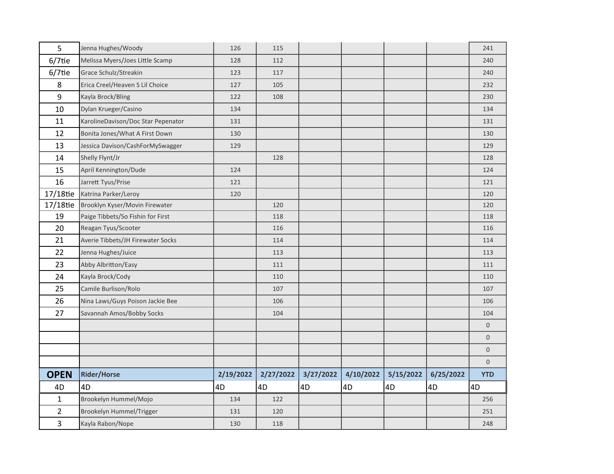| 5              | Jenna Hughes/Woody                 | 126       | 115       |           |           |           |           | 241            |
|----------------|------------------------------------|-----------|-----------|-----------|-----------|-----------|-----------|----------------|
| $6/7$ tie      | Melissa Myers/Joes Little Scamp    | 128       | 112       |           |           |           |           | 240            |
| $6/7$ tie      | Grace Schulz/Streakin              | 123       | 117       |           |           |           |           | 240            |
| 8              | Erica Creel/Heaven S Lil Choice    | 127       | 105       |           |           |           |           | 232            |
| 9              | Kayla Brock/Bling                  | 122       | 108       |           |           |           |           | 230            |
| 10             | Dylan Krueger/Casino               | 134       |           |           |           |           |           | 134            |
| 11             | KarolineDavison/Doc Star Pepenator | 131       |           |           |           |           |           | 131            |
| 12             | Bonita Jones/What A First Down     | 130       |           |           |           |           |           | 130            |
| 13             | Jessica Davison/CashForMySwagger   | 129       |           |           |           |           |           | 129            |
| 14             | Shelly Flynt/Jr                    |           | 128       |           |           |           |           | 128            |
| 15             | April Kennington/Dude              | 124       |           |           |           |           |           | 124            |
| 16             | Jarrett Tyus/Prise                 | 121       |           |           |           |           |           | 121            |
| 17/18tie       | Katrina Parker/Leroy               | 120       |           |           |           |           |           | 120            |
| 17/18tie       | Brooklyn Kyser/Movin Firewater     |           | 120       |           |           |           |           | 120            |
| 19             | Paige Tibbets/So Fishin for First  |           | 118       |           |           |           |           | 118            |
| 20             | Reagan Tyus/Scooter                |           | 116       |           |           |           |           | 116            |
| 21             | Averie Tibbets/JH Firewater Socks  |           | 114       |           |           |           |           | 114            |
| 22             | Jenna Hughes/Juice                 |           | 113       |           |           |           |           | 113            |
| 23             | Abby Albritton/Easy                |           | 111       |           |           |           |           | 111            |
| 24             | Kayla Brock/Cody                   |           | 110       |           |           |           |           | 110            |
| 25             | Camile Burlison/Rolo               |           | 107       |           |           |           |           | 107            |
| 26             | Nina Laws/Guys Poison Jackie Bee   |           | 106       |           |           |           |           | 106            |
| 27             | Savannah Amos/Bobby Socks          |           | 104       |           |           |           |           | 104            |
|                |                                    |           |           |           |           |           |           | $\overline{0}$ |
|                |                                    |           |           |           |           |           |           | $\overline{0}$ |
|                |                                    |           |           |           |           |           |           | $\overline{0}$ |
|                |                                    |           |           |           |           |           |           | $\Omega$       |
| <b>OPEN</b>    | <b>Rider/Horse</b>                 | 2/19/2022 | 2/27/2022 | 3/27/2022 | 4/10/2022 | 5/15/2022 | 6/25/2022 | <b>YTD</b>     |
| 4D             | 4D                                 | 4D        | 4D        | 4D        | 4D        | 4D        | 4D        | 4D             |
|                |                                    |           |           |           |           |           |           |                |
| $\mathbf{1}$   | Brookelyn Hummel/Mojo              | 134       | 122       |           |           |           |           | 256            |
| $\overline{2}$ | Brookelyn Hummel/Trigger           | 131       | 120       |           |           |           |           | 251            |